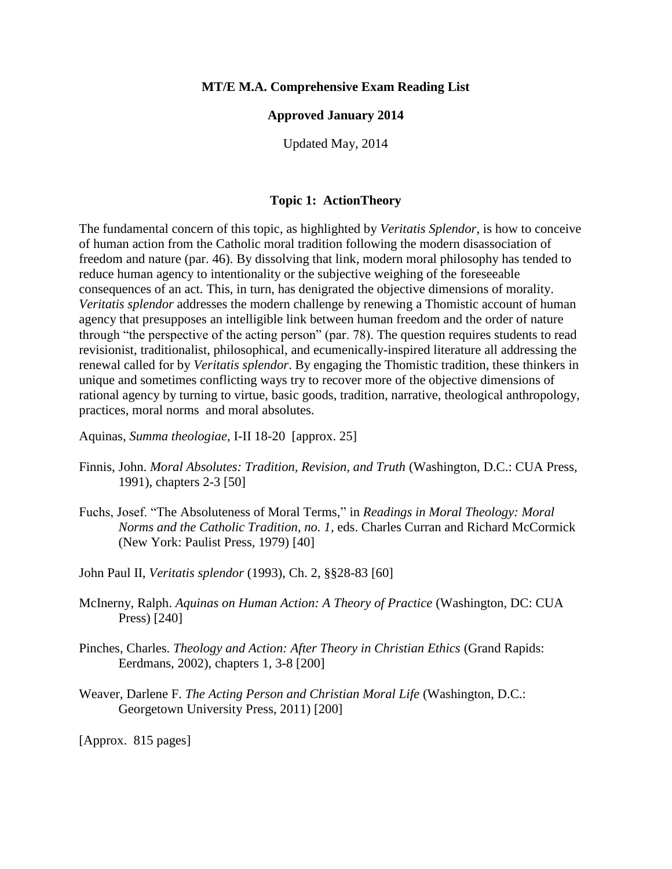### **MT/E M.A. Comprehensive Exam Reading List**

#### **Approved January 2014**

Updated May, 2014

### **Topic 1: ActionTheory**

The fundamental concern of this topic, as highlighted by *Veritatis Splendor*, is how to conceive of human action from the Catholic moral tradition following the modern disassociation of freedom and nature (par. 46). By dissolving that link, modern moral philosophy has tended to reduce human agency to intentionality or the subjective weighing of the foreseeable consequences of an act. This, in turn, has denigrated the objective dimensions of morality. *Veritatis splendor* addresses the modern challenge by renewing a Thomistic account of human agency that presupposes an intelligible link between human freedom and the order of nature through "the perspective of the acting person" (par. 78). The question requires students to read revisionist, traditionalist, philosophical, and ecumenically-inspired literature all addressing the renewal called for by *Veritatis splendor*. By engaging the Thomistic tradition, these thinkers in unique and sometimes conflicting ways try to recover more of the objective dimensions of rational agency by turning to virtue, basic goods, tradition, narrative, theological anthropology, practices, moral norms and moral absolutes.

Aquinas, *Summa theologiae*, I-II 18-20 [approx. 25]

- Finnis, John. *Moral Absolutes: Tradition, Revision, and Truth* (Washington, D.C.: CUA Press, 1991), chapters 2-3 [50]
- Fuchs, Josef. "The Absoluteness of Moral Terms," in *Readings in Moral Theology: Moral Norms and the Catholic Tradition, no. 1*, eds. Charles Curran and Richard McCormick (New York: Paulist Press, 1979) [40]
- John Paul II, *Veritatis splendor* (1993), Ch. 2, §§28-83 [60]
- McInerny, Ralph. *Aquinas on Human Action: A Theory of Practice* (Washington, DC: CUA Press) [240]
- Pinches, Charles. *Theology and Action: After Theory in Christian Ethics* (Grand Rapids: Eerdmans, 2002), chapters 1, 3-8 [200]
- Weaver, Darlene F. *The Acting Person and Christian Moral Life* (Washington, D.C.: Georgetown University Press, 2011) [200]

[Approx. 815 pages]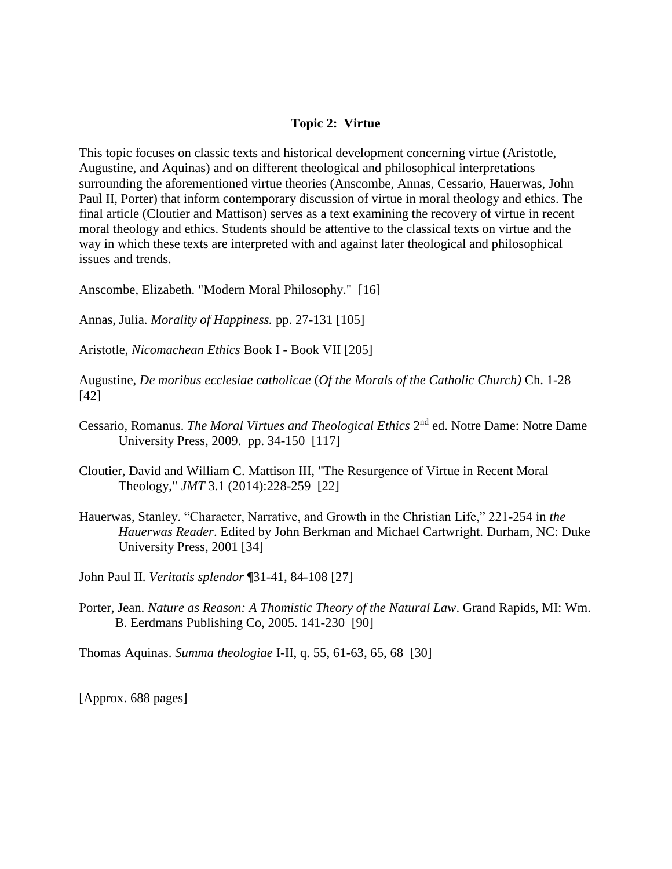### **Topic 2: Virtue**

This topic focuses on classic texts and historical development concerning virtue (Aristotle, Augustine, and Aquinas) and on different theological and philosophical interpretations surrounding the aforementioned virtue theories (Anscombe, Annas, Cessario, Hauerwas, John Paul II, Porter) that inform contemporary discussion of virtue in moral theology and ethics. The final article (Cloutier and Mattison) serves as a text examining the recovery of virtue in recent moral theology and ethics. Students should be attentive to the classical texts on virtue and the way in which these texts are interpreted with and against later theological and philosophical issues and trends.

Anscombe, Elizabeth. "Modern Moral Philosophy." [16]

Annas, Julia. *Morality of Happiness.* pp. 27-131 [105]

Aristotle, *Nicomachean Ethics* Book I - Book VII [205]

Augustine, *De moribus ecclesiae catholicae* (*Of the Morals of the Catholic Church)* Ch. 1-28 [42]

- Cessario, Romanus. *The Moral Virtues and Theological Ethics* 2<sup>nd</sup> ed. Notre Dame: Notre Dame University Press, 2009. pp. 34-150 [117]
- Cloutier, David and William C. Mattison III, "The Resurgence of Virtue in Recent Moral Theology," *JMT* 3.1 (2014):228-259 [22]
- Hauerwas, Stanley. "Character, Narrative, and Growth in the Christian Life," 221-254 in *the Hauerwas Reader*. Edited by John Berkman and Michael Cartwright. Durham, NC: Duke University Press, 2001 [34]

John Paul II. *Veritatis splendor* ¶31-41, 84-108 [27]

Porter, Jean. *Nature as Reason: A Thomistic Theory of the Natural Law*. Grand Rapids, MI: Wm. B. Eerdmans Publishing Co, 2005. 141-230 [90]

Thomas Aquinas. *Summa theologiae* I-II, q. 55, 61-63, 65, 68 [30]

[Approx. 688 pages]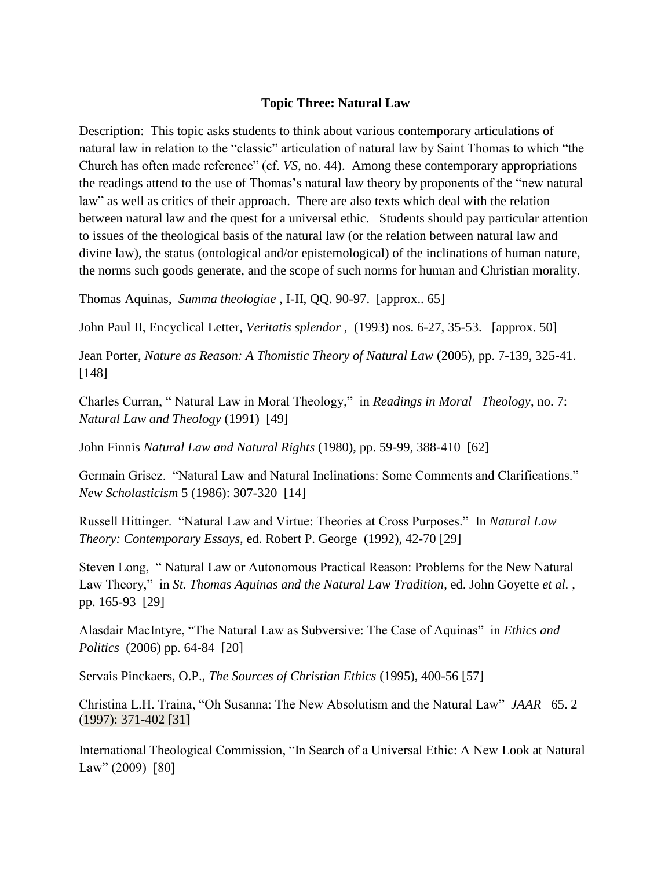## **Topic Three: Natural Law**

Description: This topic asks students to think about various contemporary articulations of natural law in relation to the "classic" articulation of natural law by Saint Thomas to which "the Church has often made reference" (cf. *VS*, no. 44). Among these contemporary appropriations the readings attend to the use of Thomas's natural law theory by proponents of the "new natural law" as well as critics of their approach. There are also texts which deal with the relation between natural law and the quest for a universal ethic. Students should pay particular attention to issues of the theological basis of the natural law (or the relation between natural law and divine law), the status (ontological and/or epistemological) of the inclinations of human nature, the norms such goods generate, and the scope of such norms for human and Christian morality.

Thomas Aquinas, *Summa theologiae* , I-II, QQ. 90-97. [approx.. 65]

John Paul II, Encyclical Letter, *Veritatis splendor* , (1993) nos. 6-27, 35-53. [approx. 50]

Jean Porter, *Nature as Reason: A Thomistic Theory of Natural Law* (2005), pp. 7-139, 325-41. [148]

Charles Curran, " Natural Law in Moral Theology," in *Readings in Moral Theology*, no. 7: *Natural Law and Theology* (1991) [49]

John Finnis *Natural Law and Natural Rights* (1980), pp. 59-99, 388-410 [62]

Germain Grisez. "Natural Law and Natural Inclinations: Some Comments and Clarifications." *New Scholasticism* 5 (1986): 307-320 [14]

Russell Hittinger. "Natural Law and Virtue: Theories at Cross Purposes." In *Natural Law Theory: Contemporary Essays*, ed. Robert P. George (1992), 42-70 [29]

Steven Long, " Natural Law or Autonomous Practical Reason: Problems for the New Natural Law Theory," in *St. Thomas Aquinas and the Natural Law Tradition*, ed. John Goyette *et al.* , pp. 165-93 [29]

Alasdair MacIntyre, "The Natural Law as Subversive: The Case of Aquinas" in *Ethics and Politics* (2006) pp. 64-84 [20]

Servais Pinckaers, O.P., *The Sources of Christian Ethics* (1995), 400-56 [57]

Christina L.H. Traina, "Oh Susanna: The New Absolutism and the Natural Law" *JAAR* 65. 2 (1997): 371-402 [31]

International Theological Commission, "In Search of a Universal Ethic: A New Look at Natural Law" (2009) [80]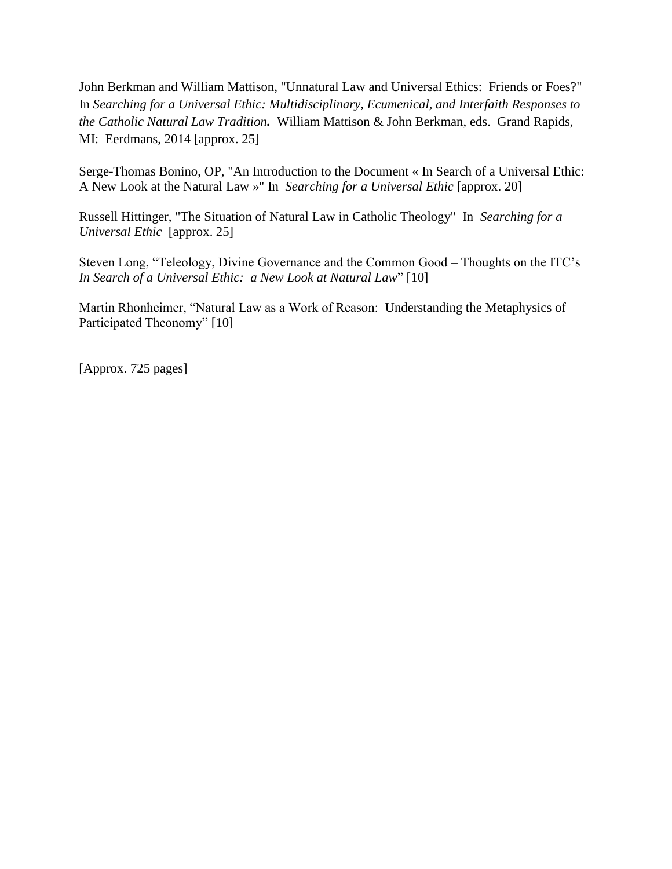John Berkman and William Mattison, "Unnatural Law and Universal Ethics: Friends or Foes?" In *Searching for a Universal Ethic: Multidisciplinary, Ecumenical, and Interfaith Responses to the Catholic Natural Law Tradition.* William Mattison & John Berkman, eds. Grand Rapids, MI: Eerdmans, 2014 [approx. 25]

Serge-Thomas Bonino, OP, "An Introduction to the Document « In Search of a Universal Ethic: A New Look at the Natural Law »" In *Searching for a Universal Ethic* [approx. 20]

Russell Hittinger, "The Situation of Natural Law in Catholic Theology" In *Searching for a Universal Ethic* [approx. 25]

Steven Long, "Teleology, Divine Governance and the Common Good – Thoughts on the ITC's *In Search of a Universal Ethic: a New Look at Natural Law*" [10]

Martin Rhonheimer, "Natural Law as a Work of Reason: Understanding the Metaphysics of Participated Theonomy" [10]

[Approx. 725 pages]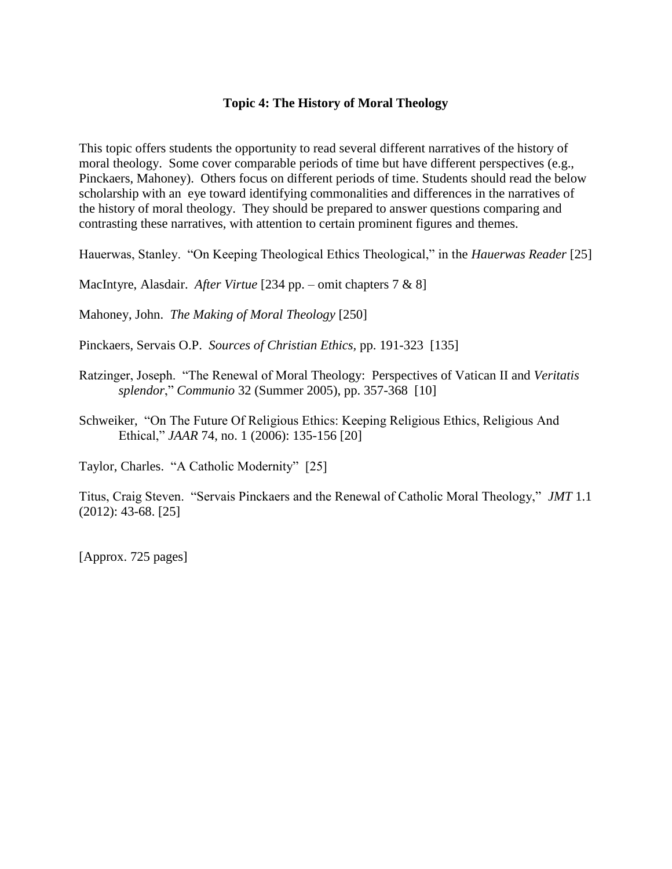## **Topic 4: The History of Moral Theology**

This topic offers students the opportunity to read several different narratives of the history of moral theology. Some cover comparable periods of time but have different perspectives (e.g., Pinckaers, Mahoney). Others focus on different periods of time. Students should read the below scholarship with an eye toward identifying commonalities and differences in the narratives of the history of moral theology. They should be prepared to answer questions comparing and contrasting these narratives, with attention to certain prominent figures and themes.

Hauerwas, Stanley. "On Keeping Theological Ethics Theological," in the *Hauerwas Reader* [25]

MacIntyre, Alasdair. *After Virtue* [234 pp. – omit chapters 7 & 8]

Mahoney, John. *The Making of Moral Theology* [250]

Pinckaers, Servais O.P. *Sources of Christian Ethics,* pp. 191-323 [135]

Ratzinger, Joseph. "The Renewal of Moral Theology: Perspectives of Vatican II and *Veritatis splendor*," *Communio* 32 (Summer 2005), pp. 357-368 [10]

Schweiker, "On The Future Of Religious Ethics: Keeping Religious Ethics, Religious And Ethical," *JAAR* 74, no. 1 (2006): 135-156 [20]

Taylor, Charles. "A Catholic Modernity" [25]

Titus, Craig Steven. "Servais Pinckaers and the Renewal of Catholic Moral Theology," *JMT* 1.1 (2012): 43-68. [25]

[Approx. 725 pages]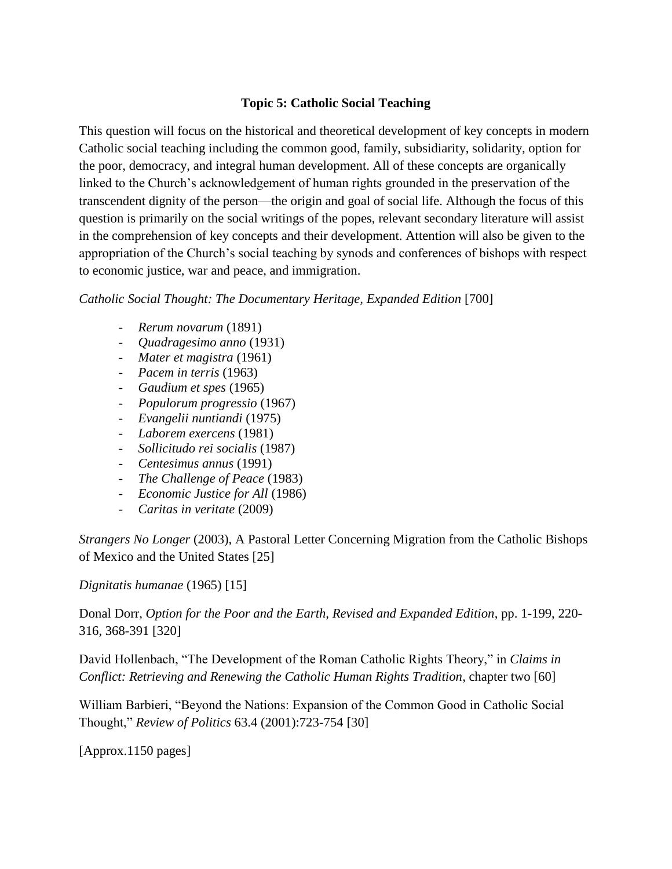# **Topic 5: Catholic Social Teaching**

This question will focus on the historical and theoretical development of key concepts in modern Catholic social teaching including the common good, family, subsidiarity, solidarity, option for the poor, democracy, and integral human development. All of these concepts are organically linked to the Church's acknowledgement of human rights grounded in the preservation of the transcendent dignity of the person—the origin and goal of social life. Although the focus of this question is primarily on the social writings of the popes, relevant secondary literature will assist in the comprehension of key concepts and their development. Attention will also be given to the appropriation of the Church's social teaching by synods and conferences of bishops with respect to economic justice, war and peace, and immigration.

## *Catholic Social Thought: The Documentary Heritage, Expanded Edition* [700]

- *Rerum novarum* (1891)
- *Quadragesimo anno* (1931)
- *Mater et magistra* (1961)
- *Pacem in terris* (1963)
- *Gaudium et spes* (1965)
- *Populorum progressio* (1967)
- *Evangelii nuntiandi* (1975)
- *Laborem exercens* (1981)
- *Sollicitudo rei socialis* (1987)
- *Centesimus annus* (1991)
- *The Challenge of Peace* (1983)
- *Economic Justice for All* (1986)
- *Caritas in veritate* (2009)

*Strangers No Longer* (2003)*,* A Pastoral Letter Concerning Migration from the Catholic Bishops of Mexico and the United States [25]

*Dignitatis humanae* (1965) [15]

Donal Dorr, *Option for the Poor and the Earth, Revised and Expanded Edition*, pp. 1-199, 220- 316, 368-391 [320]

David Hollenbach, "The Development of the Roman Catholic Rights Theory," in *Claims in Conflict: Retrieving and Renewing the Catholic Human Rights Tradition*, chapter two [60]

William Barbieri, "Beyond the Nations: Expansion of the Common Good in Catholic Social Thought," *Review of Politics* 63.4 (2001):723-754 [30]

[Approx.1150 pages]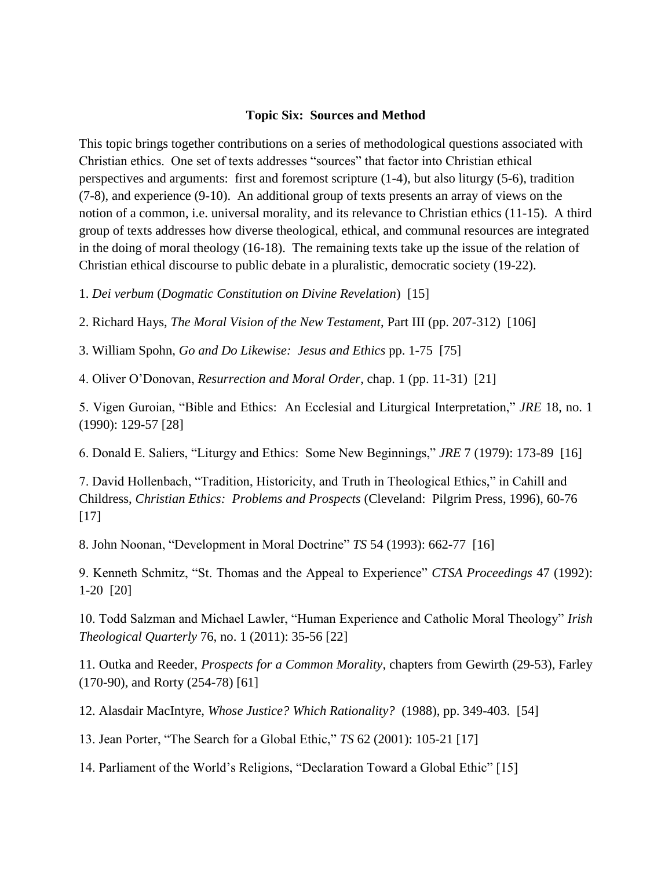### **Topic Six: Sources and Method**

This topic brings together contributions on a series of methodological questions associated with Christian ethics. One set of texts addresses "sources" that factor into Christian ethical perspectives and arguments: first and foremost scripture (1-4), but also liturgy (5-6), tradition (7-8), and experience (9-10). An additional group of texts presents an array of views on the notion of a common, i.e. universal morality, and its relevance to Christian ethics (11-15). A third group of texts addresses how diverse theological, ethical, and communal resources are integrated in the doing of moral theology (16-18). The remaining texts take up the issue of the relation of Christian ethical discourse to public debate in a pluralistic, democratic society (19-22).

1. *Dei verbum* (*Dogmatic Constitution on Divine Revelation*) [15]

2. Richard Hays, *The Moral Vision of the New Testament*, Part III (pp. 207-312) [106]

3. William Spohn, *Go and Do Likewise: Jesus and Ethics* pp. 1-75 [75]

4. Oliver O'Donovan, *Resurrection and Moral Order*, chap. 1 (pp. 11-31) [21]

5. Vigen Guroian, "Bible and Ethics: An Ecclesial and Liturgical Interpretation," *JRE* 18, no. 1 (1990): 129-57 [28]

6. Donald E. Saliers, "Liturgy and Ethics: Some New Beginnings," *JRE* 7 (1979): 173-89 [16]

7. David Hollenbach, "Tradition, Historicity, and Truth in Theological Ethics," in Cahill and Childress, *Christian Ethics: Problems and Prospects* (Cleveland: Pilgrim Press, 1996), 60-76  $[17]$ 

8. John Noonan, "Development in Moral Doctrine" *TS* 54 (1993): 662-77 [16]

9. Kenneth Schmitz, "St. Thomas and the Appeal to Experience" *CTSA Proceedings* 47 (1992): 1-20 [20]

10. Todd Salzman and Michael Lawler, "Human Experience and Catholic Moral Theology" *Irish Theological Quarterly* 76, no. 1 (2011): 35-56 [22]

11. Outka and Reeder, *Prospects for a Common Morality*, chapters from Gewirth (29-53), Farley (170-90), and Rorty (254-78) [61]

12. Alasdair MacIntyre, *Whose Justice? Which Rationality?* (1988), pp. 349-403. [54]

13. Jean Porter, "The Search for a Global Ethic," *TS* 62 (2001): 105-21 [17]

14. Parliament of the World's Religions, "Declaration Toward a Global Ethic" [15]